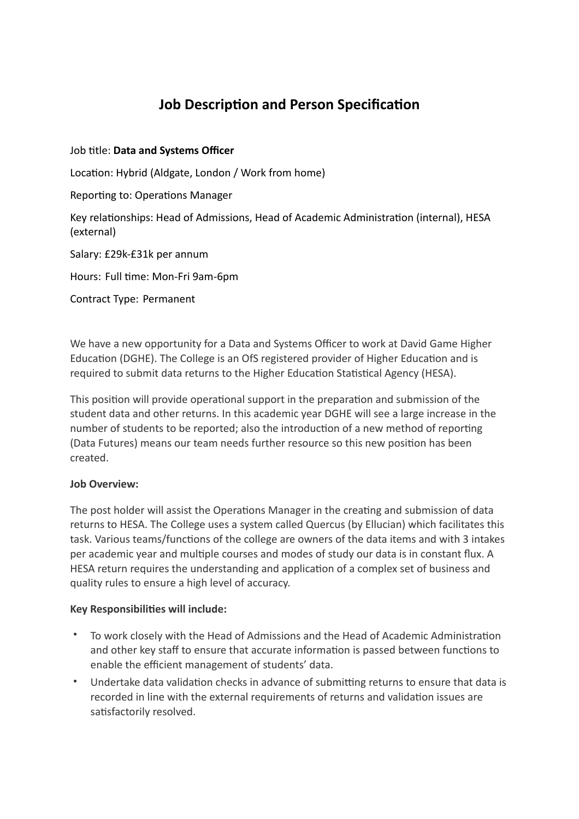# **Job Description and Person Specification**

### Job title: **Data and Systems Officer**

Location: Hybrid (Aldgate, London / Work from home)

Reporting to: Operations Manager

Key relationships: Head of Admissions, Head of Academic Administration (internal), HESA (external)

Salary: £29k-£31k per annum

Hours: Full time: Mon-Fri 9am-6pm

Contract Type: Permanent

We have a new opportunity for a Data and Systems Officer to work at David Game Higher Education (DGHE). The College is an OfS registered provider of Higher Education and is required to submit data returns to the Higher Education Statistical Agency (HESA).

This position will provide operational support in the preparation and submission of the student data and other returns. In this academic year DGHE will see a large increase in the number of students to be reported; also the introduction of a new method of reporting (Data Futures) means our team needs further resource so this new position has been created.

#### **Job Overview:**

The post holder will assist the Operations Manager in the creating and submission of data returns to HESA. The College uses a system called Quercus (by Ellucian) which facilitates this task. Various teams/functions of the college are owners of the data items and with 3 intakes per academic year and multiple courses and modes of study our data is in constant flux. A HESA return requires the understanding and application of a complex set of business and quality rules to ensure a high level of accuracy.

#### **Key Responsibilities will include:**

- To work closely with the Head of Admissions and the Head of Academic Administration and other key staff to ensure that accurate information is passed between functions to enable the efficient management of students' data.
- Undertake data validation checks in advance of submitting returns to ensure that data is recorded in line with the external requirements of returns and validation issues are satisfactorily resolved.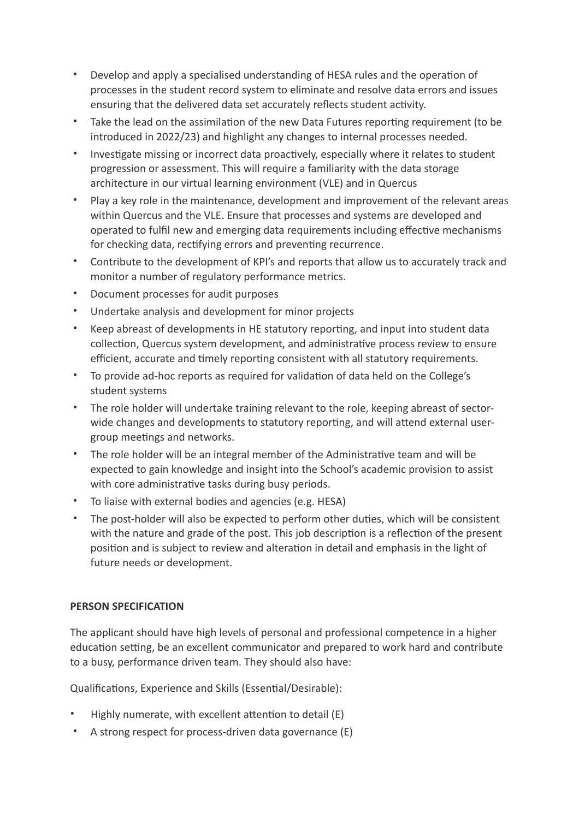- Develop and apply a specialised understanding of HESA rules and the operation of processes in the student record system to eliminate and resolve data errors and issues ensuring that the delivered data set accurately reflects student activity.
- Take the lead on the assimilation of the new Data Futures reporting requirement (to be introduced in 2022/23) and highlight any changes to internal processes needed.
- Investigate missing or incorrect data proactively, especially where it relates to student progression or assessment. This will require a familiarity with the data storage architecture in our virtual learning environment (VLE) and in Quercus
- Play a key role in the maintenance, development and improvement of the relevant areas within Quercus and the VLE. Ensure that processes and systems are developed and operated to fulfil new and emerging data requirements including effective mechanisms for checking data, rectifying errors and preventing recurrence.
- Contribute to the development of KPI's and reports that allow us to accurately track and monitor a number of regulatory performance metrics.
- Document processes for audit purposes
- Undertake analysis and development for minor projects
- Keep abreast of developments in HE statutory reporting, and input into student data collection, Quercus system development, and administrative process review to ensure efficient, accurate and timely reporting consistent with all statutory requirements.
- To provide ad-hoc reports as required for validation of data held on the College's student systems
- The role holder will undertake training relevant to the role, keeping abreast of sectorwide changes and developments to statutory reporting, and will attend external usergroup meetings and networks.
- The role holder will be an integral member of the Administrative team and will be expected to gain knowledge and insight into the School's academic provision to assist with core administrative tasks during busy periods.
- To liaise with external bodies and agencies (e.g. HESA)
- The post-holder will also be expected to perform other duties, which will be consistent with the nature and grade of the post. This job description is a reflection of the present position and is subject to review and alteration in detail and emphasis in the light of future needs or development.

## **PERSON SPECIFICATION**

The applicant should have high levels of personal and professional competence in a higher education setting, be an excellent communicator and prepared to work hard and contribute to a busy, performance driven team. They should also have:

Qualifications, Experience and Skills (Essential/Desirable):

- Highly numerate, with excellent attention to detail (E)
- A strong respect for process-driven data governance (E)